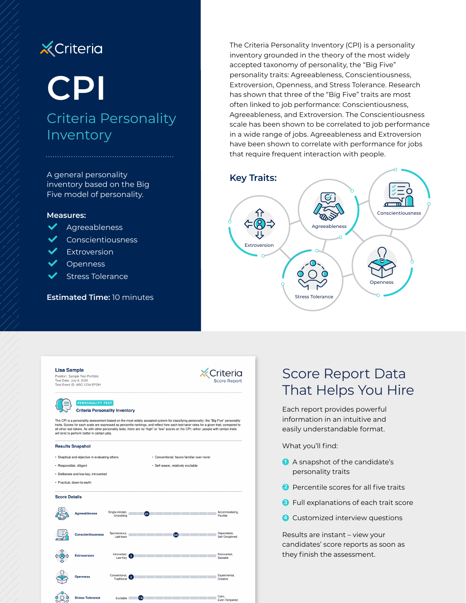# **X** Criteria

# **CPI**

# Criteria Personality Inventory

A general personality inventory based on the Big Five model of personality.

#### **Measures:**

- $\blacktriangleright$  Agreeableness
- $\blacktriangleright$  Conscientiousness
- $\blacktriangleright$  Extroversion
- **Openness**

 $\overrightarrow{O}$  Stress Tolerance

Stress Tolerance

**Estimated Time:** 10 minutes

The Criteria Personality Inventory (CPI) is a personality inventory grounded in the theory of the most widely accepted taxonomy of personality, the "Big Five" personality traits: Agreeableness, Conscientiousness, Extroversion, Openness, and Stress Tolerance. Research has shown that three of the "Big Five" traits are most often linked to job performance: Conscientiousness, Agreeableness, and Extroversion. The Conscientiousness scale has been shown to be correlated to job performance in a wide range of jobs. Agreeableness and Extroversion have been shown to correlate with performance for jobs that require frequent interaction with people.



| <b>Lisa Sample</b>      | Position: Sample Test Portfolio<br>Test Date: July 8, 2020<br>Test Event ID: ABC-1234-EFGH |                                                                                                                                                                                                                                                                                  | Criteria<br><b>Score Report</b>                                                  |
|-------------------------|--------------------------------------------------------------------------------------------|----------------------------------------------------------------------------------------------------------------------------------------------------------------------------------------------------------------------------------------------------------------------------------|----------------------------------------------------------------------------------|
|                         | PERSONALITY TEST<br><b>Criteria Personality Inventory</b>                                  | The CPI is a personality assessment based on the most widely accepted system for classifying personality: the "Big Five" personality<br>traits. Scores for each scale are expressed as percentile rankings, and reflect how each test-taker rates for a given trait, compared to |                                                                                  |
|                         | will tend to perform better in certain jobs.<br><b>Results Snapshot</b>                    | all other test-takers. As with other personality tests, there are no "high" or "low" scores on the CPI; rather, people with certain traits                                                                                                                                       |                                                                                  |
|                         |                                                                                            |                                                                                                                                                                                                                                                                                  |                                                                                  |
| · Responsible, diligent | • Skeptical and objective in evaluating others                                             |                                                                                                                                                                                                                                                                                  | • Conventional, favors familiar over novel<br>· Self-aware, relatively excitable |
|                         | · Deliberate and low-key; introverted                                                      |                                                                                                                                                                                                                                                                                  |                                                                                  |
|                         | · Practical, down-to-earth                                                                 |                                                                                                                                                                                                                                                                                  |                                                                                  |
| <b>Score Details</b>    |                                                                                            |                                                                                                                                                                                                                                                                                  |                                                                                  |
|                         | <b>Agreeableness</b>                                                                       | Single-minded,<br>(21<br>Unyielding                                                                                                                                                                                                                                              | Accommodating,<br>Flexible                                                       |
|                         | <b>Conscientiousness</b>                                                                   | Spontaneous.<br>Laid-back                                                                                                                                                                                                                                                        | Dependable.<br>(54)<br>Self-Disciplined                                          |
|                         | <b>Extroversion</b>                                                                        | Introverted.<br>3<br>Low-Key                                                                                                                                                                                                                                                     | Extroverted.<br>Sociable                                                         |
|                         |                                                                                            |                                                                                                                                                                                                                                                                                  |                                                                                  |

 $\bullet$ 

Calm,<br>Even-Tempered

## Score Report Data That Helps You Hire

Each report provides powerful information in an intuitive and easily understandable format.

What you'll find:

- **1** A snapshot of the candidate's personality traits
- **2** Percentile scores for all five traits
- **3** Full explanations of each trait score
- **4** Customized interview questions

Results are instant – view your candidates' score reports as soon as they finish the assessment.